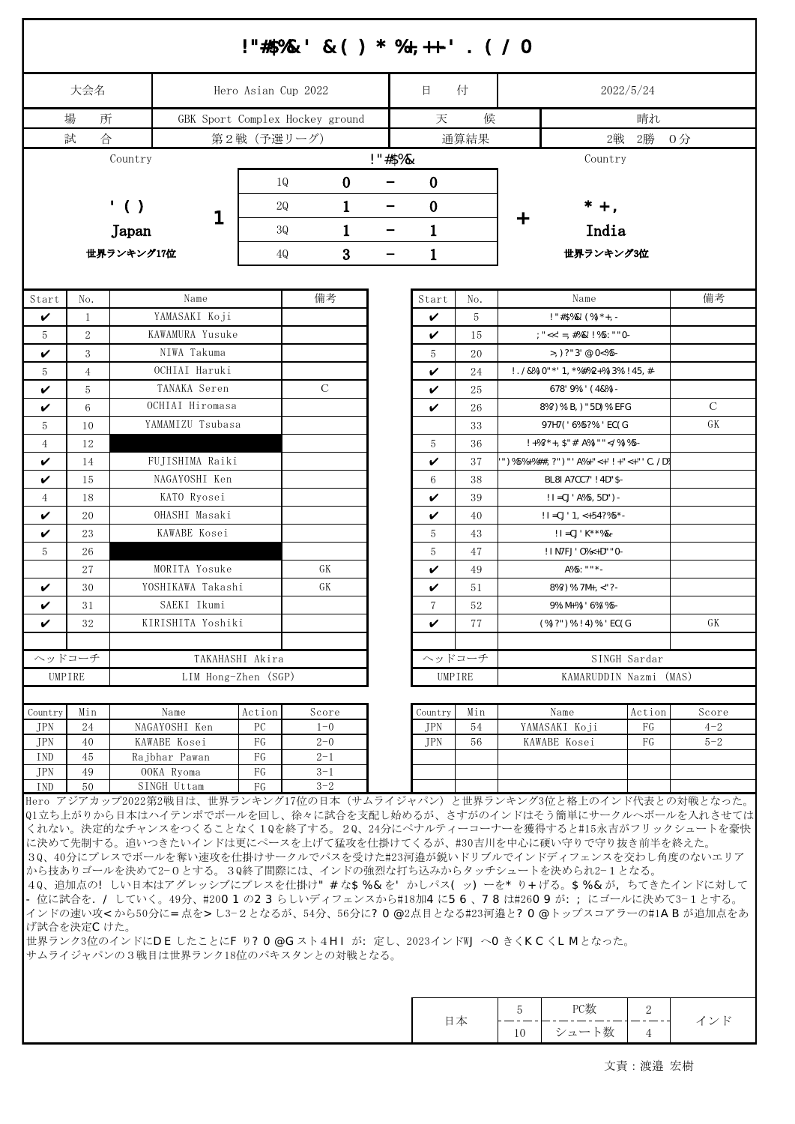|                |                     |            |                                  |                     | !"#\$%&' &() * %+,++-' . (/O                                                                                                                                                                                                                                                                                                                                                                                                                                                                                                                             |            |             |          |                                                                              |                       |                     |                                                                                                                                                                                                                          |  |  |  |
|----------------|---------------------|------------|----------------------------------|---------------------|----------------------------------------------------------------------------------------------------------------------------------------------------------------------------------------------------------------------------------------------------------------------------------------------------------------------------------------------------------------------------------------------------------------------------------------------------------------------------------------------------------------------------------------------------------|------------|-------------|----------|------------------------------------------------------------------------------|-----------------------|---------------------|--------------------------------------------------------------------------------------------------------------------------------------------------------------------------------------------------------------------------|--|--|--|
|                | 大会名                 |            |                                  | Hero Asian Cup 2022 |                                                                                                                                                                                                                                                                                                                                                                                                                                                                                                                                                          |            |             |          |                                                                              | 2022/5/24             |                     |                                                                                                                                                                                                                          |  |  |  |
|                | 場<br>所              |            |                                  |                     | GBK Sport Complex Hockey ground                                                                                                                                                                                                                                                                                                                                                                                                                                                                                                                          |            | 天           | 侯        |                                                                              |                       | 晴れ                  |                                                                                                                                                                                                                          |  |  |  |
|                | 合<br>試              |            |                                  |                     |                                                                                                                                                                                                                                                                                                                                                                                                                                                                                                                                                          |            | 通算結果        |          |                                                                              |                       |                     |                                                                                                                                                                                                                          |  |  |  |
|                |                     | Country    |                                  |                     |                                                                                                                                                                                                                                                                                                                                                                                                                                                                                                                                                          | $1"#$ \$%& |             |          | Country                                                                      |                       |                     |                                                                                                                                                                                                                          |  |  |  |
|                |                     |            |                                  |                     |                                                                                                                                                                                                                                                                                                                                                                                                                                                                                                                                                          |            |             |          |                                                                              |                       |                     |                                                                                                                                                                                                                          |  |  |  |
|                |                     |            |                                  | 1Q                  | $\bf{0}$                                                                                                                                                                                                                                                                                                                                                                                                                                                                                                                                                 |            | $\bf{0}$    |          |                                                                              |                       |                     |                                                                                                                                                                                                                          |  |  |  |
|                |                     | $'$ ()     |                                  | 1<br>2Q<br>—        |                                                                                                                                                                                                                                                                                                                                                                                                                                                                                                                                                          |            | $\bf{0}$    |          | $*$ +,                                                                       |                       |                     |                                                                                                                                                                                                                          |  |  |  |
|                |                     | Japan      |                                  | 1<br>3Q<br>-        |                                                                                                                                                                                                                                                                                                                                                                                                                                                                                                                                                          |            | 1           |          |                                                                              |                       |                     |                                                                                                                                                                                                                          |  |  |  |
|                |                     | 世界ランキング17位 |                                  | 4Q                  | 3                                                                                                                                                                                                                                                                                                                                                                                                                                                                                                                                                        | -          | $\mathbf 1$ |          |                                                                              | India<br>世界ランキング3位    |                     |                                                                                                                                                                                                                          |  |  |  |
|                |                     |            |                                  |                     |                                                                                                                                                                                                                                                                                                                                                                                                                                                                                                                                                          |            |             |          |                                                                              |                       |                     |                                                                                                                                                                                                                          |  |  |  |
|                |                     |            |                                  |                     |                                                                                                                                                                                                                                                                                                                                                                                                                                                                                                                                                          |            | Start       |          |                                                                              |                       |                     |                                                                                                                                                                                                                          |  |  |  |
| Start          | No.                 |            | Name                             |                     | 備考                                                                                                                                                                                                                                                                                                                                                                                                                                                                                                                                                       |            |             | No.      |                                                                              | Name                  | 備考                  |                                                                                                                                                                                                                          |  |  |  |
| V              | 1                   |            | YAMASAKI Koji<br>KAWAMURA Yusuke |                     |                                                                                                                                                                                                                                                                                                                                                                                                                                                                                                                                                          |            |             | 5        | $1$ "#\$%&' (%)*+, -<br>$: "<<' = , #%$ &'!%5: ""0-                          |                       |                     |                                                                                                                                                                                                                          |  |  |  |
| 5<br>V         | $\overline{2}$<br>3 |            | NIWA Takuma                      |                     |                                                                                                                                                                                                                                                                                                                                                                                                                                                                                                                                                          |            | V<br>5      | 15       |                                                                              |                       |                     |                                                                                                                                                                                                                          |  |  |  |
|                |                     |            | OCHIAI Haruki                    |                     |                                                                                                                                                                                                                                                                                                                                                                                                                                                                                                                                                          |            |             | 20       | $>$ , )?"3' @, 0<%5 -                                                        |                       |                     |                                                                                                                                                                                                                          |  |  |  |
| 5              | $\overline{4}$<br>5 |            | TANAKA Seren                     |                     | $\mathcal{C}$                                                                                                                                                                                                                                                                                                                                                                                                                                                                                                                                            |            | V           | 24<br>25 | $1.78\%$ ) 0" * ' 1, * %# % 2 + %) 3 % ' ! 45, # -<br>$678'$ 9%: ' $(48%)$ - |                       |                     |                                                                                                                                                                                                                          |  |  |  |
| V<br>V         | 6                   |            | OCHIAI Hiromasa                  |                     |                                                                                                                                                                                                                                                                                                                                                                                                                                                                                                                                                          |            | V<br>V      | 26       | 8%?)%'B, )"5D)%' EFG                                                         |                       |                     | $\mathcal{C}$                                                                                                                                                                                                            |  |  |  |
| 5              | 10                  |            | YAMAMIZU Tsubasa                 |                     |                                                                                                                                                                                                                                                                                                                                                                                                                                                                                                                                                          |            |             | 33       | 97H7('6%5?%:'EC(G                                                            |                       |                     | GK                                                                                                                                                                                                                       |  |  |  |
| $\overline{4}$ | 12                  |            | NAGAI Yuma                       |                     |                                                                                                                                                                                                                                                                                                                                                                                                                                                                                                                                                          |            | 5           | 36       | $! + %? +$ , \$"#' A%) "" %) %5 -</td <td></td>                              |                       |                     |                                                                                                                                                                                                                          |  |  |  |
| V              | 14                  |            | FUJISHIMA Raiki                  |                     |                                                                                                                                                                                                                                                                                                                                                                                                                                                                                                                                                          |            | V           | 37       | ")%5%+%##, ?")"' A%+"<+'!+"<+"' C./D%                                        |                       |                     |                                                                                                                                                                                                                          |  |  |  |
| V              | 15                  |            | NAGAYOSHI Ken                    |                     |                                                                                                                                                                                                                                                                                                                                                                                                                                                                                                                                                          |            | 6           | 38       | BL81A7CC7' ! 4D"\$-                                                          |                       |                     |                                                                                                                                                                                                                          |  |  |  |
| 4              | 18                  |            | KATO Ryosei                      |                     |                                                                                                                                                                                                                                                                                                                                                                                                                                                                                                                                                          |            | V           | 39       | $! I = CJ' A\$ 5, 5D") -                                                     |                       |                     |                                                                                                                                                                                                                          |  |  |  |
| V              | 20                  |            | OHASHI Masaki                    |                     |                                                                                                                                                                                                                                                                                                                                                                                                                                                                                                                                                          |            | V           | 40       | $! I = CJ' 1, < +54?%5$ * -                                                  |                       |                     |                                                                                                                                                                                                                          |  |  |  |
| V              | 23                  |            | KAWABE Kosei                     |                     |                                                                                                                                                                                                                                                                                                                                                                                                                                                                                                                                                          |            | 5           | 43       | $! I = CJ' K^*$ %& -                                                         |                       |                     |                                                                                                                                                                                                                          |  |  |  |
| 5              | 26                  |            | OOKA Ryoma                       |                     |                                                                                                                                                                                                                                                                                                                                                                                                                                                                                                                                                          |            | 5           | 47       |                                                                              | ! IN7FJ' 0%<+D""0-    |                     |                                                                                                                                                                                                                          |  |  |  |
|                | 27                  |            | MORITA Yosuke                    |                     | GK                                                                                                                                                                                                                                                                                                                                                                                                                                                                                                                                                       |            | V           | 49       | $A\%5:$ ""*-                                                                 |                       |                     |                                                                                                                                                                                                                          |  |  |  |
| V              | 30                  |            | YOSHIKAWA Takashi                |                     | GK                                                                                                                                                                                                                                                                                                                                                                                                                                                                                                                                                       |            | V           | 51       |                                                                              | $8\%$ ?) %' 7M+, <"?- |                     |                                                                                                                                                                                                                          |  |  |  |
| V              | 31                  |            | SAEKI Ikumi                      |                     |                                                                                                                                                                                                                                                                                                                                                                                                                                                                                                                                                          |            | 7           | 52       | $9\%$ : M+%)' 6%/%5-                                                         |                       |                     |                                                                                                                                                                                                                          |  |  |  |
| V              | 32                  |            | KIRISHITA Yoshiki                |                     |                                                                                                                                                                                                                                                                                                                                                                                                                                                                                                                                                          |            | V           | 77       | $(\%)$ ?")%'!4)%:'EC(G                                                       |                       |                     | GK                                                                                                                                                                                                                       |  |  |  |
|                |                     |            |                                  |                     |                                                                                                                                                                                                                                                                                                                                                                                                                                                                                                                                                          |            |             |          |                                                                              |                       |                     |                                                                                                                                                                                                                          |  |  |  |
| ヘッドコーチ         |                     |            |                                  | TAKAHASHI Akira     |                                                                                                                                                                                                                                                                                                                                                                                                                                                                                                                                                          |            |             | ヘッドコーチ   | SINGH Sardar                                                                 |                       |                     |                                                                                                                                                                                                                          |  |  |  |
| UMPIRE         |                     |            | LIM Hong-Zhen (SGP)              |                     |                                                                                                                                                                                                                                                                                                                                                                                                                                                                                                                                                          |            |             | UMPIRE   | KAMARUDDIN Nazmi (MAS)                                                       |                       |                     |                                                                                                                                                                                                                          |  |  |  |
|                |                     |            |                                  |                     |                                                                                                                                                                                                                                                                                                                                                                                                                                                                                                                                                          |            |             |          |                                                                              |                       |                     |                                                                                                                                                                                                                          |  |  |  |
| Country        | Min                 |            | Name                             | Action              | Score                                                                                                                                                                                                                                                                                                                                                                                                                                                                                                                                                    |            | Country     | Min      |                                                                              | Name                  | Action              | Score                                                                                                                                                                                                                    |  |  |  |
| JPN<br>JPN     | 24<br>40            |            | NAGAYOSHI Ken<br>KAWABE Kosei    | PC<br>FG            | $1 - 0$<br>$2 - 0$                                                                                                                                                                                                                                                                                                                                                                                                                                                                                                                                       |            | JPN<br>JPN  | 54<br>56 | YAMASAKI Koji<br>KAWABE Kosei                                                |                       | FG<br>FG            | $4 - 2$<br>$5 - 2$                                                                                                                                                                                                       |  |  |  |
| IND            | 45                  |            | Rajbhar Pawan                    | FG                  | $2 - 1$                                                                                                                                                                                                                                                                                                                                                                                                                                                                                                                                                  |            |             |          |                                                                              |                       |                     |                                                                                                                                                                                                                          |  |  |  |
| JPN            | 49                  |            | OOKA Ryoma                       | FG                  | $3 - 1$                                                                                                                                                                                                                                                                                                                                                                                                                                                                                                                                                  |            |             |          |                                                                              |                       |                     |                                                                                                                                                                                                                          |  |  |  |
| <b>TND</b>     | 50                  |            | SINGH Uttam                      | FG                  | $3 - 2$                                                                                                                                                                                                                                                                                                                                                                                                                                                                                                                                                  |            |             |          |                                                                              |                       |                     |                                                                                                                                                                                                                          |  |  |  |
| げ試合を決定しけた。     |                     |            |                                  |                     | Hero アジアカップ2022第2戦目は、世界ランキング17位の日本(サムライジャパン)と世界ランキング3位と格上のインド代表との対戦となった。<br>に決めて先制する。追いつきたいインドは更にペースを上げて猛攻を仕掛けてくるが、#30吉川を中心に硬い守りで守り抜き前半を終えた。<br>30、40分にプレスでボールを奪い速攻を仕掛けサークルでパスを受けた#23河邉が鋭いドリブルでインドディフェンスを交わし角度のないエリア<br>から技ありゴールを決めて2-0とする。30終了間際には、インドの強烈な打ち込みからタッチシュートを決められ2-1となる。<br>40、追加点の! しい日本はアグレッシブにプレスを仕掛け"#な\$%&を'かしパス(ッ)ーを*り+げる。\$%&が、ちてきたインドに対して<br>- 位に試合を. / していく。49分、#20〇1の23らしいディフェンスから#18加4に56、78は#26〇9が:; にゴールに決めて3-1とする。<br> 世界ランク3位のインドにDE したことにF り? O@Gスト4HI が: 定し、2023インドWJ へOきくKCくLMとなった。<br>サムライジャパンの3戦目は世界ランク18位のパキスタンとの対戦となる。 |            |             |          |                                                                              |                       |                     | Q1立ち上がりから日本はハイテンポでボールを回し、徐々に試合を支配し始めるが、さすがのインドはそう簡単にサークルへボールを入れさせては<br>くれない。決定的なチャンスをつくることなく10を終了する。20、24分にペナルティーコーナーを獲得すると#15永吉がフリックシュートを豪快<br>インドの速い攻<から50分に=点を>し3-2となるが、54分、56分に?O@2点目となる#23河邉と?O@トップスコアラーの#1ABが追加点をあ |  |  |  |
|                |                     |            |                                  |                     |                                                                                                                                                                                                                                                                                                                                                                                                                                                                                                                                                          |            |             | 日本       | 5<br>10                                                                      | PC数<br>シュート数          | 2<br>$\overline{4}$ | インド                                                                                                                                                                                                                      |  |  |  |